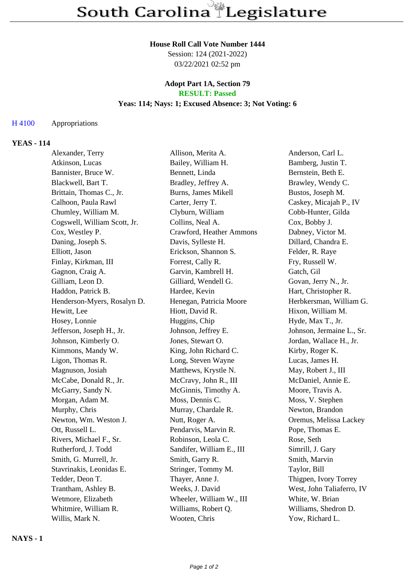## **House Roll Call Vote Number 1444**

Session: 124 (2021-2022) 03/22/2021 02:52 pm

## **Adopt Part 1A, Section 79 RESULT: Passed**

# **Yeas: 114; Nays: 1; Excused Absence: 3; Not Voting: 6**

#### H 4100 Appropriations

# **YEAS - 114**

| Alexander, Terry             | Allison, Merita A.        | Anderson, Carl L.         |
|------------------------------|---------------------------|---------------------------|
| Atkinson, Lucas              | Bailey, William H.        | Bamberg, Justin T.        |
| Bannister, Bruce W.          | Bennett, Linda            | Bernstein, Beth E.        |
| Blackwell, Bart T.           | Bradley, Jeffrey A.       | Brawley, Wendy C.         |
| Brittain, Thomas C., Jr.     | Burns, James Mikell       | Bustos, Joseph M.         |
| Calhoon, Paula Rawl          | Carter, Jerry T.          | Caskey, Micajah P., IV    |
| Chumley, William M.          | Clyburn, William          | Cobb-Hunter, Gilda        |
| Cogswell, William Scott, Jr. | Collins, Neal A.          | Cox, Bobby J.             |
| Cox, Westley P.              | Crawford, Heather Ammons  | Dabney, Victor M.         |
| Daning, Joseph S.            | Davis, Sylleste H.        | Dillard, Chandra E.       |
| Elliott, Jason               | Erickson, Shannon S.      | Felder, R. Raye           |
| Finlay, Kirkman, III         | Forrest, Cally R.         | Fry, Russell W.           |
| Gagnon, Craig A.             | Garvin, Kambrell H.       | Gatch, Gil                |
| Gilliam, Leon D.             | Gilliard, Wendell G.      | Govan, Jerry N., Jr.      |
| Haddon, Patrick B.           | Hardee, Kevin             | Hart, Christopher R.      |
| Henderson-Myers, Rosalyn D.  | Henegan, Patricia Moore   | Herbkersman, William G.   |
| Hewitt, Lee                  | Hiott, David R.           | Hixon, William M.         |
| Hosey, Lonnie                | Huggins, Chip             | Hyde, Max T., Jr.         |
| Jefferson, Joseph H., Jr.    | Johnson, Jeffrey E.       | Johnson, Jermaine L., Sr. |
| Johnson, Kimberly O.         | Jones, Stewart O.         | Jordan, Wallace H., Jr.   |
| Kimmons, Mandy W.            | King, John Richard C.     | Kirby, Roger K.           |
| Ligon, Thomas R.             | Long, Steven Wayne        | Lucas, James H.           |
| Magnuson, Josiah             | Matthews, Krystle N.      | May, Robert J., III       |
| McCabe, Donald R., Jr.       | McCravy, John R., III     | McDaniel, Annie E.        |
| McGarry, Sandy N.            | McGinnis, Timothy A.      | Moore, Travis A.          |
| Morgan, Adam M.              | Moss, Dennis C.           | Moss, V. Stephen          |
| Murphy, Chris                | Murray, Chardale R.       | Newton, Brandon           |
| Newton, Wm. Weston J.        | Nutt, Roger A.            | Oremus, Melissa Lackey    |
| Ott, Russell L.              | Pendarvis, Marvin R.      | Pope, Thomas E.           |
| Rivers, Michael F., Sr.      | Robinson, Leola C.        | Rose, Seth                |
| Rutherford, J. Todd          | Sandifer, William E., III | Simrill, J. Gary          |
| Smith, G. Murrell, Jr.       | Smith, Garry R.           | Smith, Marvin             |
| Stavrinakis, Leonidas E.     | Stringer, Tommy M.        | Taylor, Bill              |
| Tedder, Deon T.              | Thayer, Anne J.           | Thigpen, Ivory Torrey     |
| Trantham, Ashley B.          | Weeks, J. David           | West, John Taliaferro, IV |
| Wetmore, Elizabeth           | Wheeler, William W., III  | White, W. Brian           |
| Whitmire, William R.         | Williams, Robert Q.       | Williams, Shedron D.      |
| Willis, Mark N.              | Wooten, Chris             | Yow, Richard L.           |